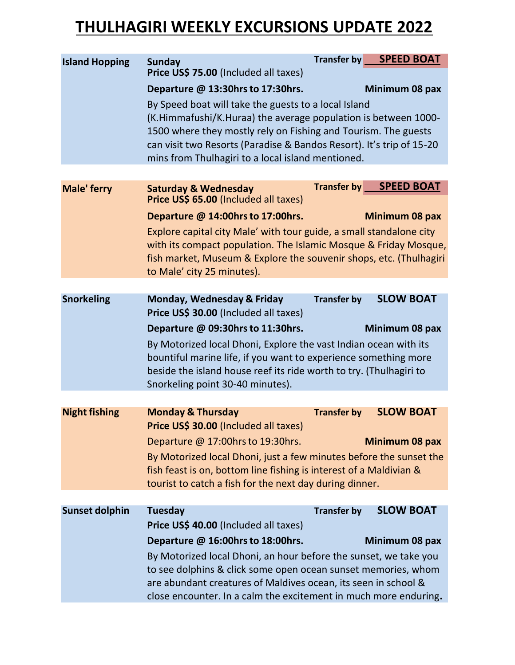## **THULHAGIRI WEEKLY EXCURSIONS UPDATE 2022**

| <b>Island Hopping</b> | <b>Sunday</b><br>Price US\$ 75.00 (Included all taxes)                                                                              |                    | Transfer by SPEED BOAT |  |
|-----------------------|-------------------------------------------------------------------------------------------------------------------------------------|--------------------|------------------------|--|
|                       | Departure @ 13:30hrs to 17:30hrs.                                                                                                   |                    | Minimum 08 pax         |  |
|                       | By Speed boat will take the guests to a local Island                                                                                |                    |                        |  |
|                       | (K.Himmafushi/K.Huraa) the average population is between 1000-                                                                      |                    |                        |  |
|                       | 1500 where they mostly rely on Fishing and Tourism. The guests                                                                      |                    |                        |  |
|                       | can visit two Resorts (Paradise & Bandos Resort). It's trip of 15-20                                                                |                    |                        |  |
|                       | mins from Thulhagiri to a local island mentioned.                                                                                   |                    |                        |  |
|                       |                                                                                                                                     |                    |                        |  |
| <b>Male' ferry</b>    | <b>Saturday &amp; Wednesday</b><br>Price US\$ 65.00 (Included all taxes)                                                            | <b>Transfer by</b> | <b>SPEED BOAT</b>      |  |
|                       | Departure @ 14:00hrs to 17:00hrs.                                                                                                   |                    | Minimum 08 pax         |  |
|                       | Explore capital city Male' with tour guide, a small standalone city                                                                 |                    |                        |  |
|                       | with its compact population. The Islamic Mosque & Friday Mosque,                                                                    |                    |                        |  |
|                       | fish market, Museum & Explore the souvenir shops, etc. (Thulhagiri                                                                  |                    |                        |  |
|                       | to Male' city 25 minutes).                                                                                                          |                    |                        |  |
|                       |                                                                                                                                     |                    |                        |  |
| <b>Snorkeling</b>     | <b>Monday, Wednesday &amp; Friday</b>                                                                                               | <b>Transfer by</b> | <b>SLOW BOAT</b>       |  |
|                       | Price US\$ 30.00 (Included all taxes)                                                                                               |                    |                        |  |
|                       | Departure @ 09:30hrs to 11:30hrs.                                                                                                   |                    | Minimum 08 pax         |  |
|                       | By Motorized local Dhoni, Explore the vast Indian ocean with its<br>bountiful marine life, if you want to experience something more |                    |                        |  |
|                       | beside the island house reef its ride worth to try. (Thulhagiri to                                                                  |                    |                        |  |
|                       | Snorkeling point 30-40 minutes).                                                                                                    |                    |                        |  |
|                       |                                                                                                                                     |                    |                        |  |
| <b>Night fishing</b>  | <b>Monday &amp; Thursday</b>                                                                                                        | <b>Transfer by</b> | <b>SLOW BOAT</b>       |  |
|                       | Price US\$ 30.00 (Included all taxes)                                                                                               |                    |                        |  |
|                       | Departure @ 17:00hrs to 19:30hrs.                                                                                                   |                    | Minimum 08 pax         |  |
|                       | By Motorized local Dhoni, just a few minutes before the sunset the                                                                  |                    |                        |  |
|                       | fish feast is on, bottom line fishing is interest of a Maldivian &                                                                  |                    |                        |  |
|                       | tourist to catch a fish for the next day during dinner.                                                                             |                    |                        |  |
|                       |                                                                                                                                     |                    |                        |  |
| <b>Sunset dolphin</b> | Tuesday                                                                                                                             | <b>Transfer by</b> | <b>SLOW BOAT</b>       |  |
|                       | Price US\$ 40.00 (Included all taxes)                                                                                               |                    |                        |  |
|                       | Departure @ 16:00hrs to 18:00hrs.                                                                                                   |                    | Minimum 08 pax         |  |
|                       | By Motorized local Dhoni, an hour before the sunset, we take you                                                                    |                    |                        |  |
|                       | to see dolphins & click some open ocean sunset memories, whom<br>are abundant creatures of Maldives ocean, its seen in school &     |                    |                        |  |
|                       | close encounter. In a calm the excitement in much more enduring.                                                                    |                    |                        |  |
|                       |                                                                                                                                     |                    |                        |  |